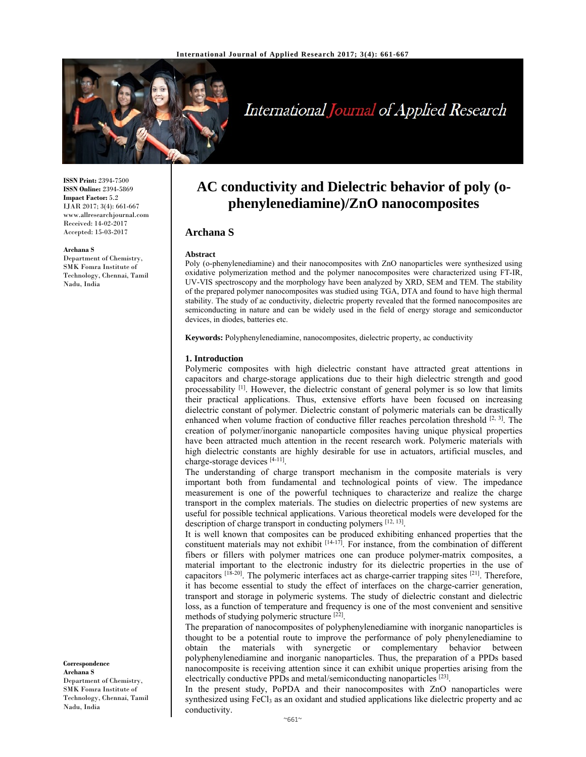

# International Journal of Applied Research

**ISSN Print:** 2394-7500 **ISSN Online:** 2394-5869 **Impact Factor:** 5.2 IJAR 2017; 3(4): 661-667 www.allresearchjournal.com Received: 14-02-2017 Accepted: 15-03-2017

#### **Archana S**

Department of Chemistry, SMK Fomra Institute of Technology, Chennai, Tamil Nadu, India

**Correspondence Archana S**  Department of Chemistry, SMK Fomra Institute of Technology, Chennai, Tamil Nadu, India

# **AC conductivity and Dielectric behavior of poly (ophenylenediamine)/ZnO nanocomposites**

# **Archana S**

#### **Abstract**

Poly (o-phenylenediamine) and their nanocomposites with ZnO nanoparticles were synthesized using oxidative polymerization method and the polymer nanocomposites were characterized using FT-IR, UV-VIS spectroscopy and the morphology have been analyzed by XRD, SEM and TEM. The stability of the prepared polymer nanocomposites was studied using TGA, DTA and found to have high thermal stability. The study of ac conductivity, dielectric property revealed that the formed nanocomposites are semiconducting in nature and can be widely used in the field of energy storage and semiconductor devices, in diodes, batteries etc.

**Keywords:** Polyphenylenediamine, nanocomposites, dielectric property, ac conductivity

#### **1. Introduction**

Polymeric composites with high dielectric constant have attracted great attentions in capacitors and charge-storage applications due to their high dielectric strength and good processability <sup>[1]</sup>. However, the dielectric constant of general polymer is so low that limits their practical applications. Thus, extensive efforts have been focused on increasing dielectric constant of polymer. Dielectric constant of polymeric materials can be drastically enhanced when volume fraction of conductive filler reaches percolation threshold <sup>[2, 3]</sup>. The creation of polymer/inorganic nanoparticle composites having unique physical properties have been attracted much attention in the recent research work. Polymeric materials with high dielectric constants are highly desirable for use in actuators, artificial muscles, and charge-storage devices [4-11].

The understanding of charge transport mechanism in the composite materials is very important both from fundamental and technological points of view. The impedance measurement is one of the powerful techniques to characterize and realize the charge transport in the complex materials. The studies on dielectric properties of new systems are useful for possible technical applications. Various theoretical models were developed for the description of charge transport in conducting polymers [12, 13].

It is well known that composites can be produced exhibiting enhanced properties that the constituent materials may not exhibit  $[14-17]$ . For instance, from the combination of different fibers or fillers with polymer matrices one can produce polymer-matrix composites, a material important to the electronic industry for its dielectric properties in the use of capacitors  $[18-20]$ . The polymeric interfaces act as charge-carrier trapping sites  $[21]$ . Therefore, it has become essential to study the effect of interfaces on the charge-carrier generation, transport and storage in polymeric systems. The study of dielectric constant and dielectric loss, as a function of temperature and frequency is one of the most convenient and sensitive methods of studying polymeric structure [22].

The preparation of nanocomposites of polyphenylenediamine with inorganic nanoparticles is thought to be a potential route to improve the performance of poly phenylenediamine to obtain the materials with synergetic or complementary behavior between polyphenylenediamine and inorganic nanoparticles. Thus, the preparation of a PPDs based nanocomposite is receiving attention since it can exhibit unique properties arising from the electrically conductive PPDs and metal/semiconducting nanoparticles [23].

In the present study, PoPDA and their nanocomposites with ZnO nanoparticles were synthesized using FeCl<sub>3</sub> as an oxidant and studied applications like dielectric property and ac conductivity.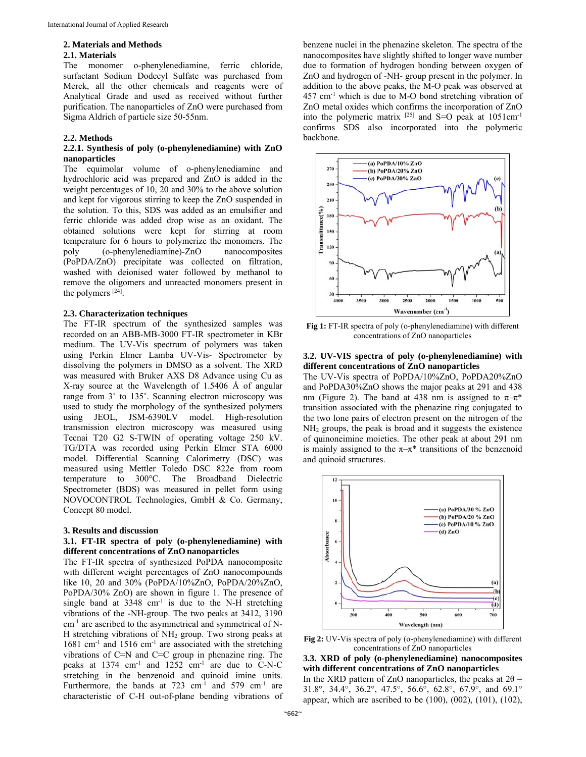#### **2. Materials and Methods**

#### **2.1. Materials**

The monomer o-phenylenediamine, ferric chloride, surfactant Sodium Dodecyl Sulfate was purchased from Merck, all the other chemicals and reagents were of Analytical Grade and used as received without further purification. The nanoparticles of ZnO were purchased from Sigma Aldrich of particle size 50-55nm.

#### **2.2. Methods**

# **2.2.1. Synthesis of poly (o-phenylenediamine) with ZnO nanoparticles**

The equimolar volume of o-phenylenediamine and hydrochloric acid was prepared and ZnO is added in the weight percentages of 10, 20 and 30% to the above solution and kept for vigorous stirring to keep the ZnO suspended in the solution. To this, SDS was added as an emulsifier and ferric chloride was added drop wise as an oxidant. The obtained solutions were kept for stirring at room temperature for 6 hours to polymerize the monomers. The poly (o-phenylenediamine)-ZnO nanocomposites (PoPDA/ZnO) precipitate was collected on filtration, washed with deionised water followed by methanol to remove the oligomers and unreacted monomers present in the polymers  $[24]$ .

# **2.3. Characterization techniques**

The FT-IR spectrum of the synthesized samples was recorded on an ABB-MB-3000 FT-IR spectrometer in KBr medium. The UV-Vis spectrum of polymers was taken using Perkin Elmer Lamba UV-Vis- Spectrometer by dissolving the polymers in DMSO as a solvent. The XRD was measured with Bruker AXS D8 Advance using Cu as X-ray source at the Wavelength of 1.5406 Å of angular range from 3˚ to 135˚. Scanning electron microscopy was used to study the morphology of the synthesized polymers using JEOL, JSM-6390LV model. High-resolution transmission electron microscopy was measured using Tecnai T20 G2 S-TWIN of operating voltage 250 kV. TG/DTA was recorded using Perkin Elmer STA 6000 model. Differential Scanning Calorimetry (DSC) was measured using Mettler Toledo DSC 822e from room temperature to 300°C. The Broadband Dielectric Spectrometer (BDS) was measured in pellet form using NOVOCONTROL Technologies, GmbH & Co. Germany, Concept 80 model.

#### **3. Results and discussion**

# **3.1. FT-IR spectra of poly (o-phenylenediamine) with different concentrations of ZnO nanoparticles**

The FT-IR spectra of synthesized PoPDA nanocomposite with different weight percentages of ZnO nanocompounds like 10, 20 and 30% (PoPDA/10%ZnO, PoPDA/20%ZnO, PoPDA/30% ZnO) are shown in figure 1. The presence of single band at  $3348 \text{ cm}^{-1}$  is due to the N-H stretching vibrations of the -NH-group. The two peaks at 3412, 3190 cm-1 are ascribed to the asymmetrical and symmetrical of N-H stretching vibrations of NH2 group. Two strong peaks at 1681 cm<sup>-1</sup> and 1516 cm<sup>-1</sup> are associated with the stretching vibrations of C=N and C=C group in phenazine ring. The peaks at  $1374 \text{ cm}^{-1}$  and  $1252 \text{ cm}^{-1}$  are due to C-N-C stretching in the benzenoid and quinoid imine units. Furthermore, the bands at  $723 \text{ cm}^{-1}$  and  $579 \text{ cm}^{-1}$  are characteristic of C-H out-of-plane bending vibrations of benzene nuclei in the phenazine skeleton. The spectra of the nanocomposites have slightly shifted to longer wave number due to formation of hydrogen bonding between oxygen of ZnO and hydrogen of -NH- group present in the polymer. In addition to the above peaks, the M-O peak was observed at 457 cm-1 which is due to M-O bond stretching vibration of ZnO metal oxides which confirms the incorporation of ZnO into the polymeric matrix  $[25]$  and S=O peak at 1051cm<sup>-1</sup> confirms SDS also incorporated into the polymeric backbone.



**Fig 1:** FT-IR spectra of poly (o-phenylenediamine) with different concentrations of ZnO nanoparticles

# **3.2. UV-VIS spectra of poly (o-phenylenediamine) with different concentrations of ZnO nanoparticles**

The UV-Vis spectra of PoPDA/10%ZnO, PoPDA20%ZnO and PoPDA30%ZnO shows the major peaks at 291 and 438 nm (Figure 2). The band at 438 nm is assigned to  $\pi-\pi^*$ transition associated with the phenazine ring conjugated to the two lone pairs of electron present on the nitrogen of the NH2 groups, the peak is broad and it suggests the existence of quinoneimine moieties. The other peak at about 291 nm is mainly assigned to the  $\pi-\pi^*$  transitions of the benzenoid and quinoid structures.



**Fig 2:** UV-Vis spectra of poly (o-phenylenediamine) with different concentrations of ZnO nanoparticles

**3.3. XRD of poly (o-phenylenediamine) nanocomposites with different concentrations of ZnO nanoparticles**  In the XRD pattern of ZnO nanoparticles, the peaks at  $2\theta$  =

31.8°, 34.4°, 36.2°, 47.5°, 56.6°, 62.8°, 67.9°, and 69.1° appear, which are ascribed to be (100), (002), (101), (102),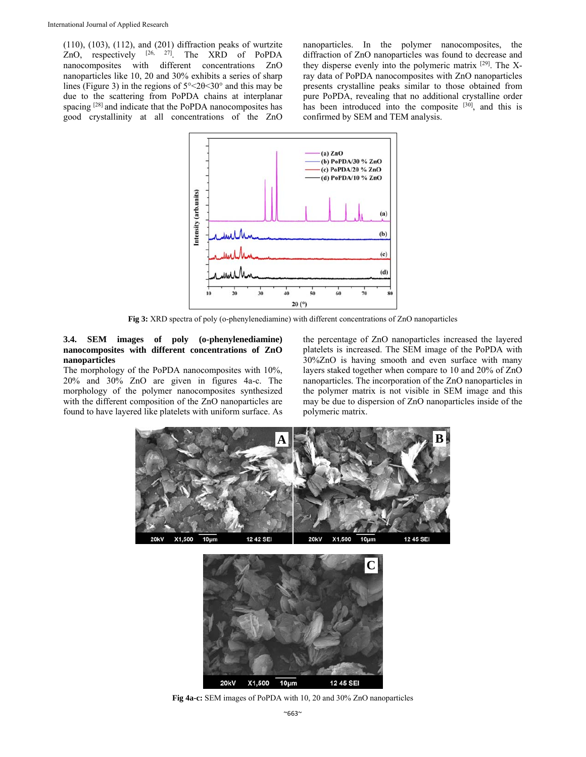(110), (103), (112), and (201) diffraction peaks of wurtzite ZnO, respectively  $[26, 27]$ . The XRD of PoPDA nanocomposites with different concentrations ZnO nanoparticles like 10, 20 and 30% exhibits a series of sharp lines (Figure 3) in the regions of 5°˂2θ˂30° and this may be due to the scattering from PoPDA chains at interplanar spacing <sup>[28]</sup> and indicate that the PoPDA nanocomposites has good crystallinity at all concentrations of the ZnO nanoparticles. In the polymer nanocomposites, the diffraction of ZnO nanoparticles was found to decrease and they disperse evenly into the polymeric matrix [29]. The Xray data of PoPDA nanocomposites with ZnO nanoparticles presents crystalline peaks similar to those obtained from pure PoPDA, revealing that no additional crystalline order has been introduced into the composite [30], and this is confirmed by SEM and TEM analysis.



**Fig 3:** XRD spectra of poly (o-phenylenediamine) with different concentrations of ZnO nanoparticles

# **3.4. SEM images of poly (o-phenylenediamine) nanocomposites with different concentrations of ZnO nanoparticles**

The morphology of the PoPDA nanocomposites with 10%, 20% and 30% ZnO are given in figures 4a-c. The morphology of the polymer nanocomposites synthesized with the different composition of the ZnO nanoparticles are found to have layered like platelets with uniform surface. As the percentage of ZnO nanoparticles increased the layered platelets is increased. The SEM image of the PoPDA with 30%ZnO is having smooth and even surface with many layers staked together when compare to 10 and 20% of ZnO nanoparticles. The incorporation of the ZnO nanoparticles in the polymer matrix is not visible in SEM image and this may be due to dispersion of ZnO nanoparticles inside of the polymeric matrix.





**Fig 4a-c:** SEM images of PoPDA with 10, 20 and 30% ZnO nanoparticles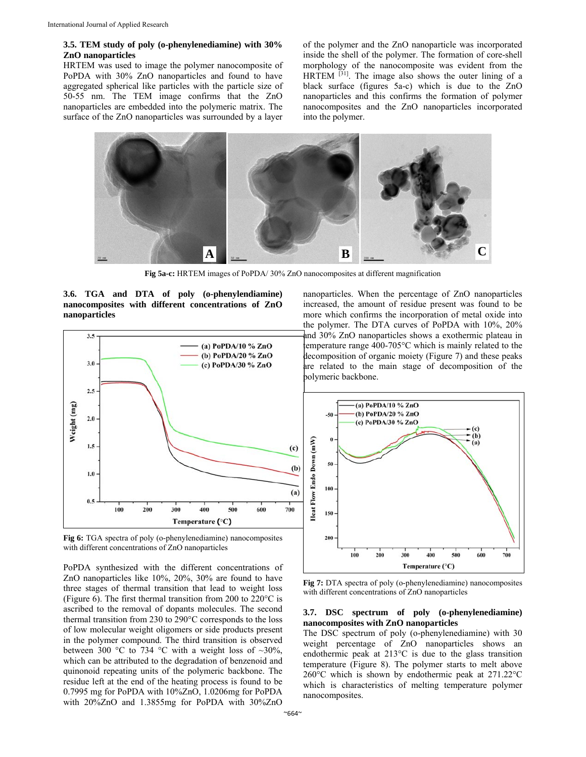### **3.5. TEM study of poly (o-phenylenediamine) with 30% ZnO nanoparticles**

HRTEM was used to image the polymer nanocomposite of PoPDA with 30% ZnO nanoparticles and found to have aggregated spherical like particles with the particle size of 50-55 nm. The TEM image confirms that the ZnO nanoparticles are embedded into the polymeric matrix. The surface of the ZnO nanoparticles was surrounded by a layer

of the polymer and the ZnO nanoparticle was incorporated inside the shell of the polymer. The formation of core-shell morphology of the nanocomposite was evident from the  $HRTEM$ <sup>[31]</sup>. The image also shows the outer lining of a black surface (figures 5a-c) which is due to the ZnO nanoparticles and this confirms the formation of polymer nanocomposites and the ZnO nanoparticles incorporated into the polymer.



**Fig 5a-c:** HRTEM images of PoPDA/ 30% ZnO nanocomposites at different magnification

**3.6. TGA and DTA of poly (o-phenylendiamine) nanocomposites with different concentrations of ZnO nanoparticles** 



**Fig 6:** TGA spectra of poly (o-phenylenediamine) nanocomposites with different concentrations of ZnO nanoparticles

PoPDA synthesized with the different concentrations of ZnO nanoparticles like 10%, 20%, 30% are found to have three stages of thermal transition that lead to weight loss (Figure 6). The first thermal transition from 200 to 220°C is ascribed to the removal of dopants molecules. The second thermal transition from 230 to 290°C corresponds to the loss of low molecular weight oligomers or side products present in the polymer compound. The third transition is observed between 300 °C to 734 °C with a weight loss of  $\sim$ 30%, which can be attributed to the degradation of benzenoid and quinonoid repeating units of the polymeric backbone. The residue left at the end of the heating process is found to be 0.7995 mg for PoPDA with 10%ZnO, 1.0206mg for PoPDA with 20%ZnO and 1.3855mg for PoPDA with 30%ZnO

nanoparticles. When the percentage of ZnO nanoparticles increased, the amount of residue present was found to be more which confirms the incorporation of metal oxide into the polymer. The DTA curves of PoPDA with 10%, 20% and 30% ZnO nanoparticles shows a exothermic plateau in temperature range  $400-705^{\circ}$ C which is mainly related to the decomposition of organic moiety (Figure 7) and these peaks are related to the main stage of decomposition of the polymeric backbone.



**Fig 7:** DTA spectra of poly (o-phenylenediamine) nanocomposites with different concentrations of ZnO nanoparticles

### **3.7. DSC spectrum of poly (o-phenylenediamine) nanocomposites with ZnO nanoparticles**

The DSC spectrum of poly (o-phenylenediamine) with 30 weight percentage of ZnO nanoparticles shows an endothermic peak at 213°C is due to the glass transition temperature (Figure 8). The polymer starts to melt above 260°C which is shown by endothermic peak at 271.22°C which is characteristics of melting temperature polymer nanocomposites.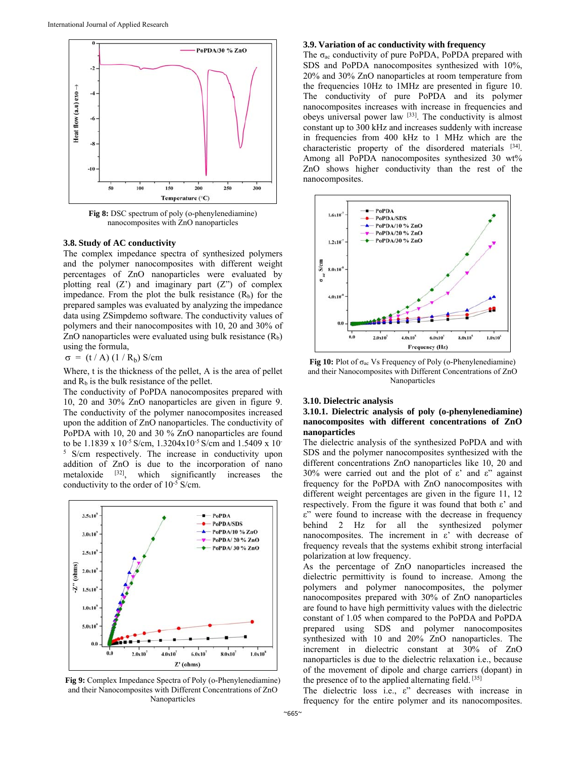

Fig 8: DSC spectrum of poly (o-phenylenediamine) nanocomposites with ZnO nanoparticles

#### **3.8. Study of AC conductivity**

The complex impedance spectra of synthesized polymers and the polymer nanocomposites with different weight percentages of ZnO nanoparticles were evaluated by plotting real  $(Z')$  and imaginary part  $(Z'')$  of complex impedance. From the plot the bulk resistance  $(R_b)$  for the prepared samples was evaluated by analyzing the impedance data using ZSimpdemo software. The conductivity values of polymers and their nanocomposites with 10, 20 and 30% of ZnO nanoparticles were evaluated using bulk resistance  $(R_b)$ using the formula,

 $\sigma = (t / A) (1 / R_b)$  S/cm

Where, t is the thickness of the pellet, A is the area of pellet and  $R<sub>b</sub>$  is the bulk resistance of the pellet.

The conductivity of PoPDA nanocomposites prepared with 10, 20 and 30% ZnO nanoparticles are given in figure 9. The conductivity of the polymer nanocomposites increased upon the addition of ZnO nanoparticles. The conductivity of PoPDA with 10, 20 and 30 % ZnO nanoparticles are found to be 1.1839 x 10-5 S/cm, 1.3204x10-5 S/cm and 1.5409 x 10- 5 S/cm respectively. The increase in conductivity upon addition of ZnO is due to the incorporation of nano metaloxide [32], which significantly increases the conductivity to the order of 10-5 S/cm.



**Fig 9:** Complex Impedance Spectra of Poly (o-Phenylenediamine) and their Nanocomposites with Different Concentrations of ZnO Nanoparticles

#### **3.9. Variation of ac conductivity with frequency**

The  $\sigma_{ac}$  conductivity of pure PoPDA, PoPDA prepared with SDS and PoPDA nanocomposites synthesized with 10%, 20% and 30% ZnO nanoparticles at room temperature from the frequencies 10Hz to 1MHz are presented in figure 10. The conductivity of pure PoPDA and its polymer nanocomposites increases with increase in frequencies and obeys universal power law [33]. The conductivity is almost constant up to 300 kHz and increases suddenly with increase in frequencies from 400 kHz to 1 MHz which are the characteristic property of the disordered materials [34]. Among all PoPDA nanocomposites synthesized 30 wt% ZnO shows higher conductivity than the rest of the nanocomposites.



**Fig 10:** Plot of σac Vs Frequency of Poly (o-Phenylenediamine) and their Nanocomposites with Different Concentrations of ZnO Nanoparticles

#### **3.10. Dielectric analysis**

# **3.10.1. Dielectric analysis of poly (o-phenylenediamine) nanocomposites with different concentrations of ZnO nanoparticles**

The dielectric analysis of the synthesized PoPDA and with SDS and the polymer nanocomposites synthesized with the different concentrations ZnO nanoparticles like 10, 20 and 30% were carried out and the plot of ε' and ε" against frequency for the PoPDA with ZnO nanocomposites with different weight percentages are given in the figure 11, 12 respectively. From the figure it was found that both ε' and ε" were found to increase with the decrease in frequency behind 2 Hz for all the synthesized polymer nanocomposites. The increment in ε' with decrease of frequency reveals that the systems exhibit strong interfacial polarization at low frequency.

As the percentage of ZnO nanoparticles increased the dielectric permittivity is found to increase. Among the polymers and polymer nanocomposites, the polymer nanocomposites prepared with 30% of ZnO nanoparticles are found to have high permittivity values with the dielectric constant of 1.05 when compared to the PoPDA and PoPDA prepared using SDS and polymer nanocomposites synthesized with 10 and 20% ZnO nanoparticles. The increment in dielectric constant at 30% of ZnO nanoparticles is due to the dielectric relaxation i.e., because of the movement of dipole and charge carriers (dopant) in the presence of to the applied alternating field. [35]

The dielectric loss i.e., ε" decreases with increase in frequency for the entire polymer and its nanocomposites.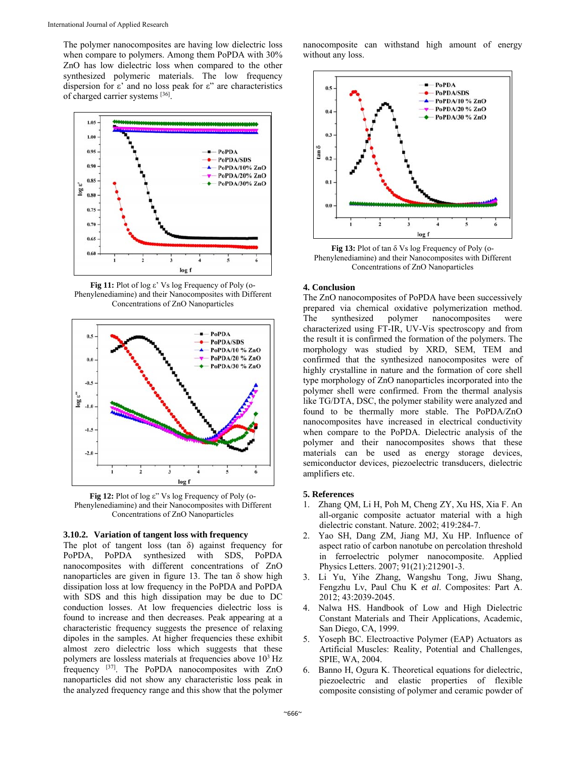The polymer nanocomposites are having low dielectric loss when compare to polymers. Among them PoPDA with 30% ZnO has low dielectric loss when compared to the other synthesized polymeric materials. The low frequency dispersion for ε' and no loss peak for ε" are characteristics of charged carrier systems [36].



**Fig 11:** Plot of log ε' Vs log Frequency of Poly (o-Phenylenediamine) and their Nanocomposites with Different Concentrations of ZnO Nanoparticles



**Fig 12:** Plot of log ε" Vs log Frequency of Poly (o-Phenylenediamine) and their Nanocomposites with Different Concentrations of ZnO Nanoparticles

### **3.10.2. Variation of tangent loss with frequency**

The plot of tangent loss (tan δ) against frequency for PoPDA, PoPDA synthesized with SDS, PoPDA nanocomposites with different concentrations of ZnO nanoparticles are given in figure 13. The tan  $\delta$  show high dissipation loss at low frequency in the PoPDA and PoPDA with SDS and this high dissipation may be due to DC conduction losses. At low frequencies dielectric loss is found to increase and then decreases. Peak appearing at a characteristic frequency suggests the presence of relaxing dipoles in the samples. At higher frequencies these exhibit almost zero dielectric loss which suggests that these polymers are lossless materials at frequencies above  $10<sup>3</sup>$  Hz frequency [37]. The PoPDA nanocomposites with ZnO nanoparticles did not show any characteristic loss peak in the analyzed frequency range and this show that the polymer

nanocomposite can withstand high amount of energy without any loss.



**Fig 13:** Plot of tan δ Vs log Frequency of Poly (o-Phenylenediamine) and their Nanocomposites with Different Concentrations of ZnO Nanoparticles

### **4. Conclusion**

The ZnO nanocomposites of PoPDA have been successively prepared via chemical oxidative polymerization method. The synthesized polymer nanocomposites were characterized using FT-IR, UV-Vis spectroscopy and from the result it is confirmed the formation of the polymers. The morphology was studied by XRD, SEM, TEM and confirmed that the synthesized nanocomposites were of highly crystalline in nature and the formation of core shell type morphology of ZnO nanoparticles incorporated into the polymer shell were confirmed. From the thermal analysis like TG/DTA, DSC, the polymer stability were analyzed and found to be thermally more stable. The PoPDA/ZnO nanocomposites have increased in electrical conductivity when compare to the PoPDA. Dielectric analysis of the polymer and their nanocomposites shows that these materials can be used as energy storage devices, semiconductor devices, piezoelectric transducers, dielectric amplifiers etc.

# **5. References**

- 1. Zhang QM, Li H, Poh M, Cheng ZY, Xu HS, Xia F. An all-organic composite actuator material with a high dielectric constant. Nature. 2002; 419:284-7.
- 2. Yao SH, Dang ZM, Jiang MJ, Xu HP. Influence of aspect ratio of carbon nanotube on percolation threshold in ferroelectric polymer nanocomposite. Applied Physics Letters. 2007; 91(21):212901-3.
- 3. Li Yu, Yihe Zhang, Wangshu Tong, Jiwu Shang, Fengzhu Lv, Paul Chu K *et al*. Composites: Part A. 2012; 43:2039-2045.
- 4. Nalwa HS. Handbook of Low and High Dielectric Constant Materials and Their Applications, Academic, San Diego, CA, 1999.
- 5. Yoseph BC. Electroactive Polymer (EAP) Actuators as Artificial Muscles: Reality, Potential and Challenges, SPIE, WA, 2004.
- 6. Banno H, Ogura K. Theoretical equations for dielectric, piezoelectric and elastic properties of flexible composite consisting of polymer and ceramic powder of